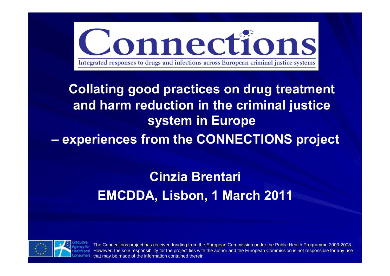

# **Collating good practices on drug treatment and harm reduction in the criminal justice system in Europe**

 **experiences from the CONNECTIONS project**

## **Cinzia Brentari EMCDDA, Lisbon, 1 March 2011**



The Connections project has received funding from the European Commission under the Public Health Programme 2003-2008. However, the sole responsibility for the project lies with the author and the European Commission is not responsible for any use that may be made of the information contained therein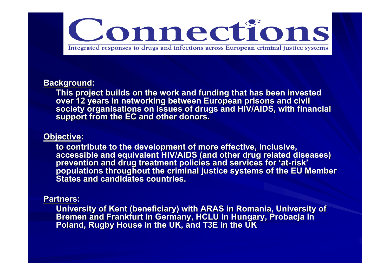

#### **Background:**

This project builds on the work and funding that has been invested<br>over 12 years in networking between European prisons and civil<br>society organisations on issues of drugs and HIV/AIDS, with financial<br>support from the EC an

#### **Objective:**

to contribute to the development of more effective, inclusive,<br>accessible and equivalent HIV/AIDS (and other drug related diseases)<br>prevention and drug treatment policies and services for 'at-risk'<br>populations throughout t **States and candidates countries.**

#### **Partners Partners:**

University of Kent (beneficiary) with ARAS in Romania, University of Bremen and Frankfurt in Germany, HCLU in Hungary, Probacja in Poland, Rugby House in the UK, and T3E in the UK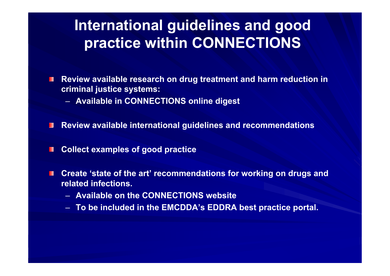## **International guidelines and good practice within CONNECTIONS**

- п **Review available research on drug treatment and harm reduction in criminal justice systems:**
	- **Available in CONNECTIONS online digest**
- **Review available international guidelines and recommendations** П
- **Collect examples of good practice**  $\blacksquare$
- **Create 'state of the art' recommendations for working on drugs and**  п **related infections.**
	- **Available on the CONNECTIONS website**
	- **To be included in the EMCDDA's EDDRA best practice portal.**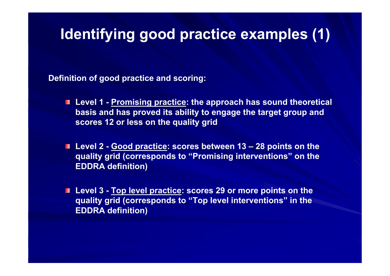## **Identifying good practice examples (1)**

**Definition of good practice and scoring:**

- **Level 1 - Promising practice: the approach has sound theoretical basis and has proved its ability to engage the target group and scores 12 or less on the quality grid**
- **Level 2 - Good practice: scores between 13 – 28 points on the quality grid (corresponds to "Promising interventions" on the EDDRA definition)**
- Level 3 **Top level practice: scores 29 or more points on the quality grid (corresponds to "Top level interventions" in the EDDRA definition)**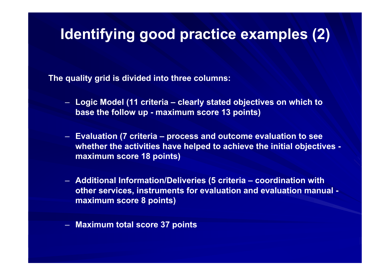## **Identifying good practice examples (2)**

**The quality grid is divided into three columns:**

- **Logic Model (11 criteria – clearly stated objectives on which to base the follow up - maximum score 13 points)**
- **Evaluation (7 criteria – process and outcome evaluation to see whether the activities have helped to achieve the initial objectives maximum score 18 points)**
- **Additional Information/Deliveries (5 criteria – coordination with other services, instruments for evaluation and evaluation manual maximum score 8 points)**

– **Maximum total score 37 points**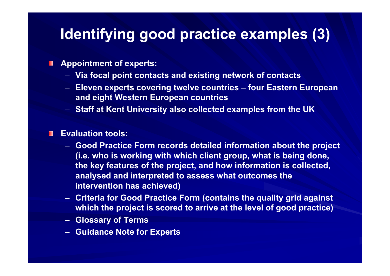## **Identifying good practice examples (3)**

#### **Appointment of experts:** П

- **Via focal point contacts and existing network of contacts**
- **Eleven experts covering twelve countries – four Eastern European and eight Western European countries**
- **Staff at Kent University also collected examples from the UK**

#### **Evaluation tools:**П

- **Good Practice Form records detailed information about the project (i.e. who is working with which client group, what is being done, the key features of the project, and how information is collected, analysed and interpreted to assess what outcomes the intervention has achieved)**
- **Criteria for Good Practice Form (contains the quality grid against which the project is scored to arrive at the level of good practice)**
- **Glossary of Terms**
- **Guidance Note for Experts**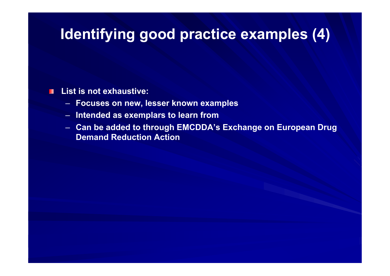## **Identifying good practice examples (4)**

#### **List is not exhaustive:**

- **Focuses on new, lesser known examples**
- **Intended as exemplars to learn from**
- **Can be added to through EMCDDA's Exchange on European Drug Demand Reduction Action**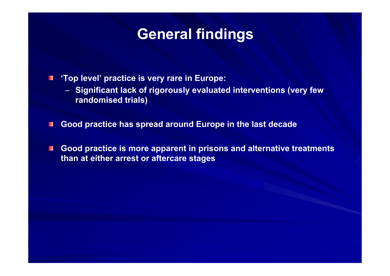### **General findings**

**'Top level' practice is very rare in Europe:** E

- **Significant lack of rigorously evaluated interventions (very few randomised trials)**
- **Good practice has spread around Europe in the last decade** ш
- **Good practice is more apparent in prisons and alternative treatments**  П **than at either arrest or aftercare stages**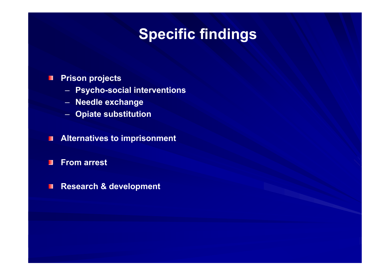# **Specific findings**

#### **Prison projects** П

- **Psycho-social interventions**
- **Needle exchange**
- **Opiate substitution**
- **Alternatives to imprisonment**  $\blacksquare$
- $\blacksquare$ **From arrest**
- **Research & development** $\blacksquare$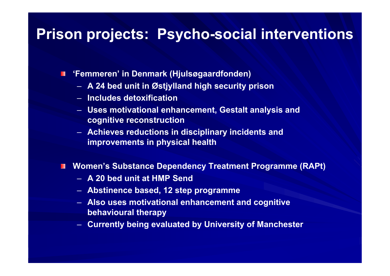#### **Prison projects: Psycho-social interventions**

**'Femmeren' in Denmark (Hjulsøgaardfonden)** П

- **A 24 bed unit in Østjylland high security prison**
- **Includes detoxification**
- **Uses motivational enhancement, Gestalt analysis and cognitive reconstruction**
- **Achieves reductions in disciplinary incidents and improvements in physical health**

**Women's Substance Dependency Treatment Programme (RAPt)** ш

- **A 20 bed unit at HMP Send**
- **Abstinence based, 12 step programme**
- **Also uses motivational enhancement and cognitive behavioural therapy**
- **Currently being evaluated by University of Manchester**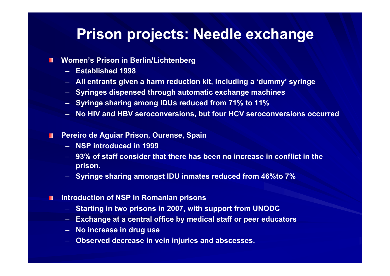#### **Prison projects: Needle exchange**

#### **Women's Prison in Berlin/Lichtenberg**  $\blacksquare$

- **Established 1998**
- **All entrants given a harm reduction kit, including a 'dummy' syringe**
- **Syringes dispensed through automatic exchange machines**
- **Syringe sharing among IDUs reduced from 71% to 11%**
- **No HIV and HBV seroconversions, but four HCV seroconversions occurred**
- **Pereiro de Aguiar Prison, Ourense, Spain**  $\blacksquare$ 
	- **NSP introduced in 1999**
	- **93% of staff consider that there has been no increase in conflict in the prison.**
	- **Syringe sharing amongst IDU inmates reduced from 46%to 7%**
- **Introduction of NSP in Romanian prisons**  $\blacksquare$ 
	- **Starting in two prisons in 2007, with support from UNODC**
	- –**Exchange at a central office by medical staff or peer educators**
	- **No increase in drug use**
	- **Observed decrease in vein injuries and abscesses.**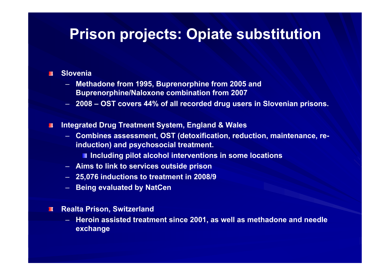### **Prison projects: Opiate substitution**

#### **Slovenia** $\blacksquare$

- – **Methadone from 1995, Buprenorphine from 2005 and Buprenorphine/Naloxone combination from 2007**
- **2008 – OST covers 44% of all recorded drug users in Slovenian prisons.**
- **Integrated Drug Treatment System, England & Wales**  $\Box$ 
	- – **Combines assessment, OST (detoxification, reduction, maintenance, reinduction) and psychosocial treatment.**
		- **Including pilot alcohol interventions in some locations**
	- **Aims to link to services outside prison**
	- **25,076 inductions to treatment in 2008/9**
	- –**Being evaluated by NatCen**
- $\blacksquare$ **Realta Prison, Switzerland**
	- **Heroin assisted treatment since 2001, as well as methadone and needle exchange**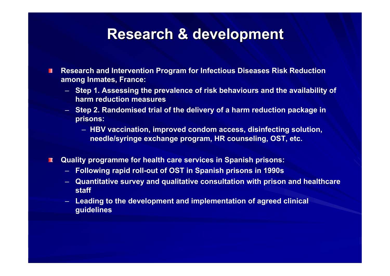### **Research & development Research & development**

- **Research and Intervention Program for Infectious Diseases Risk Reduction**  П **among Inmates, France:**
	- **Step 1. Assessing the prevalence of risk behaviours and the availability of harm reduction measures**
	- **Step 2. Randomised trial of the delivery of a harm reduction package in prisons:**
		- **HBV vaccination, improved condom access, disinfecting solution, needle/syringe exchange program, HR counseling, OST, etc.**
- **Quality programme for health care services in Spanish prisons:**  $\blacksquare$ 
	- **Following rapid roll-out of OST in Spanish prisons in 1990s**
	- **Quantitative survey and qualitative consultation with prison and healthcare staff**
	- **Leading to the development and implementation of agreed clinical guidelines**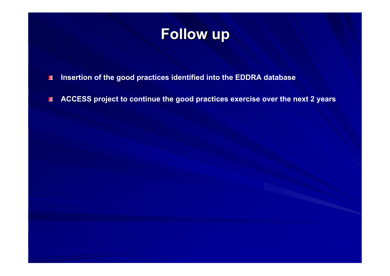

**Insertion of the good practices identified into the EDDRA database**  $\blacksquare$ 

**ACCESS project to continue the good practices exercise over the next 2 years** $\blacksquare$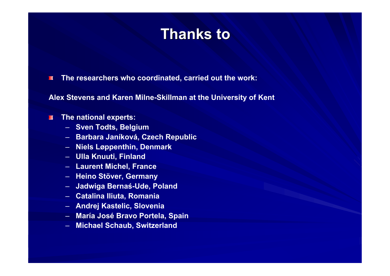### **Thanks to Thanks to**

**The researchers who coordinated, carried out the work:** TГ

**Alex Stevens and Karen Milne-Skillman at the University of Kent**

#### **The national experts:**  $\mathbf{H}$

- **Sven Todts, Belgium**
- **Barbara Janíková, Czech Republic**
- **Niels Løppenthin, Denmark**
- **Ulla Knuuti, Finland**
- **Laurent Michel, France**
- **Heino Stöver, Germany**
- **Jadwiga Bernaś-Ude, Poland**
- **Catalina Iliuta, Romania**
- **Andrej Kastelic, Slovenia**
- **María José Bravo Portela, Spain**
- **Michael Schaub, Switzerland**